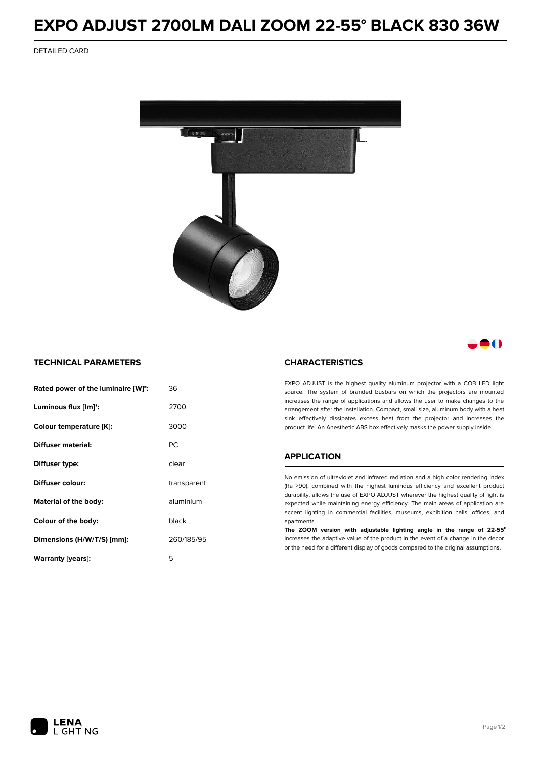# **EXPO ADJUST 2700LM DALI ZOOM 22-55° BLACK 830 36W**

DETAILED CARD



# 80

### **TECHNICAL PARAMETERS**

| Rated power of the luminaire [W]*:       | 36          |  |
|------------------------------------------|-------------|--|
| Luminous flux [lm]*:                     | 2700        |  |
| Colour temperature [K]:                  | 3000        |  |
| <b>Diffuser material:</b>                | PC.         |  |
| Diffuser type:                           | clear       |  |
| Diffuser colour:                         | transparent |  |
| aluminium<br>Material of the body:       |             |  |
| Colour of the body:                      | black       |  |
| 260/185/95<br>Dimensions (H/W/T/S) [mm]: |             |  |
| Warranty (years):                        | 5           |  |

#### **CHARACTERISTICS**

EXPO ADJUST is the highest quality aluminum projector with a COB LED light source. The system of branded busbars on which the projectors are mounted increases the range of applications and allows the user to make changes to the arrangement after the installation. Compact, small size, aluminum body with a heat sink effectively dissipates excess heat from the projector and increases the product life. An Anesthetic ABS box effectively masks the power supply inside.

## **APPLICATION**

No emission of ultraviolet and infrared radiation and a high color rendering index (Ra >90), combined with the highest luminous efficiency and excellent product durability, allows the use of EXPO ADJUST wherever the highest quality of light is expected while maintaining energy efficiency. The main areas of application are accent lighting in commercial facilities, museums, exhibition halls, offices, and apartments.

**The ZOOM version with adjustable lighting angle in the range of 22-55⁰** increases the adaptive value of the product in the event of a change in the decor or the need for a different display of goods compared to the original assumptions.